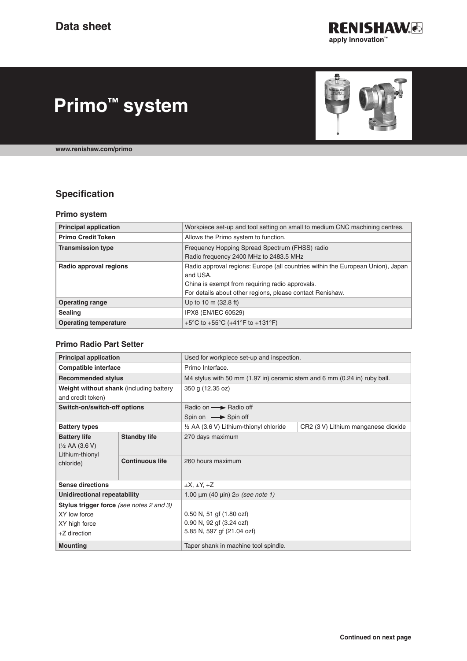

# **Primo™ system**

**[www.renishaw.com/primo](http://www.renishaw.com/primo)**

## **Specification**

#### **Primo system**

| <b>Principal application</b> | Workpiece set-up and tool setting on small to medium CNC machining centres.                                                                                                                                 |  |
|------------------------------|-------------------------------------------------------------------------------------------------------------------------------------------------------------------------------------------------------------|--|
| <b>Primo Credit Token</b>    | Allows the Primo system to function.                                                                                                                                                                        |  |
| <b>Transmission type</b>     | Frequency Hopping Spread Spectrum (FHSS) radio<br>Radio frequency 2400 MHz to 2483.5 MHz                                                                                                                    |  |
| Radio approval regions       | Radio approval regions: Europe (all countries within the European Union), Japan<br>and USA.<br>China is exempt from requiring radio approvals.<br>For details about other regions, please contact Renishaw. |  |
| <b>Operating range</b>       | Up to 10 m (32.8 ft)                                                                                                                                                                                        |  |
| <b>Sealing</b>               | IPX8 (EN/IEC 60529)                                                                                                                                                                                         |  |
| <b>Operating temperature</b> | +5°C to +55°C (+41°F to +131°F)                                                                                                                                                                             |  |

#### **Primo Radio Part Setter**

| <b>Principal application</b>                                                       |                        | Used for workpiece set-up and inspection.                                 |                                     |
|------------------------------------------------------------------------------------|------------------------|---------------------------------------------------------------------------|-------------------------------------|
| <b>Compatible interface</b>                                                        |                        | Primo Interface.                                                          |                                     |
| <b>Recommended stylus</b>                                                          |                        | M4 stylus with 50 mm (1.97 in) ceramic stem and 6 mm (0.24 in) ruby ball. |                                     |
| Weight without shank (including battery                                            |                        | 350 g (12.35 oz)                                                          |                                     |
| and credit token)                                                                  |                        |                                                                           |                                     |
| Switch-on/switch-off options                                                       |                        | Radio on  Sadio off                                                       |                                     |
|                                                                                    |                        | Spin on $\longrightarrow$ Spin off                                        |                                     |
| <b>Battery types</b>                                                               |                        | 1/2 AA (3.6 V) Lithium-thionyl chloride                                   | CR2 (3 V) Lithium manganese dioxide |
| <b>Battery life</b><br>$(\frac{1}{2}$ AA $(3.6 V)$<br>Lithium-thionyl<br>chloride) | <b>Standby life</b>    | 270 days maximum                                                          |                                     |
|                                                                                    | <b>Continuous life</b> | 260 hours maximum                                                         |                                     |
| <b>Sense directions</b>                                                            |                        | $\pm X, \pm Y, +Z$                                                        |                                     |
| <b>Unidirectional repeatability</b>                                                |                        | 1.00 $\mu$ m (40 $\mu$ in) $2\sigma$ (see note 1)                         |                                     |
| Stylus trigger force (see notes 2 and 3)                                           |                        |                                                                           |                                     |
| XY low force                                                                       |                        | $0.50$ N, 51 gf $(1.80$ ozf)                                              |                                     |
| XY high force                                                                      |                        | 0.90 N, 92 gf (3.24 ozf)                                                  |                                     |
| +Z direction                                                                       |                        | 5.85 N, 597 gf (21.04 ozf)                                                |                                     |
| <b>Mounting</b>                                                                    |                        | Taper shank in machine tool spindle.                                      |                                     |

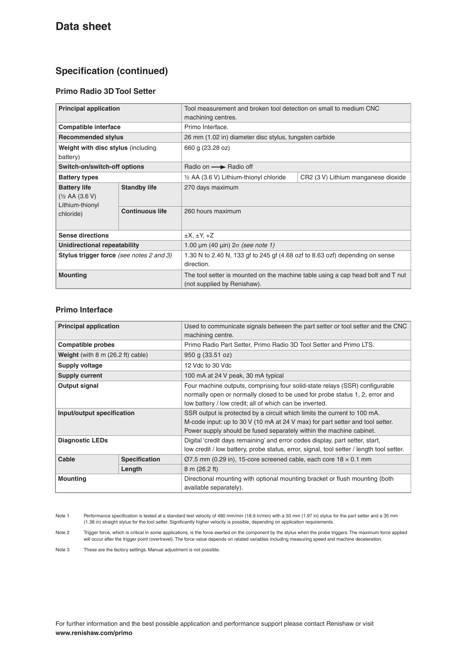## **Specification (continued)**

### **Primo Radio 3D Tool Setter**

| <b>Principal application</b>                                                     |                        | Tool measurement and broken tool detection on small to medium CNC<br>machining centres.                        |                                     |  |
|----------------------------------------------------------------------------------|------------------------|----------------------------------------------------------------------------------------------------------------|-------------------------------------|--|
| <b>Compatible interface</b>                                                      |                        | Primo Interface.                                                                                               |                                     |  |
| <b>Recommended stylus</b>                                                        |                        | 26 mm (1.02 in) diameter disc stylus, tungsten carbide                                                         |                                     |  |
| Weight with disc stylus (including<br>battery)                                   |                        | 660 g (23.28 oz)                                                                                               |                                     |  |
| Switch-on/switch-off options                                                     |                        | Radio on - Radio off                                                                                           |                                     |  |
| <b>Battery types</b>                                                             |                        | 1/2 AA (3.6 V) Lithium-thionyl chloride                                                                        | CR2 (3 V) Lithium manganese dioxide |  |
| <b>Battery life</b><br>$(\frac{1}{2}$ AA (3.6 V)<br>Lithium-thionyl<br>chloride) | <b>Standby life</b>    | 270 days maximum                                                                                               |                                     |  |
|                                                                                  | <b>Continuous life</b> | 260 hours maximum                                                                                              |                                     |  |
| <b>Sense directions</b>                                                          |                        | $\pm X$ , $\pm Y$ , $\pm Z$                                                                                    |                                     |  |
| Unidirectional repeatability                                                     |                        | 1.00 $\mu$ m (40 $\mu$ in) $2\sigma$ (see note 1)                                                              |                                     |  |
| Stylus trigger force (see notes 2 and 3)                                         |                        | 1.30 N to 2.40 N, 133 gf to 245 gf (4.68 ozf to 8.63 ozf) depending on sense<br>direction.                     |                                     |  |
| <b>Mounting</b>                                                                  |                        | The tool setter is mounted on the machine table using a cap head bolt and T nut<br>(not supplied by Renishaw). |                                     |  |

#### **Primo Interface**

|                                                    | Used to communicate signals between the part setter or tool setter and the CNC<br>machining centre.                                                                                                                              |  |
|----------------------------------------------------|----------------------------------------------------------------------------------------------------------------------------------------------------------------------------------------------------------------------------------|--|
|                                                    | Primo Radio Part Setter, Primo Radio 3D Tool Setter and Primo LTS.                                                                                                                                                               |  |
| <b>Weight</b> (with $8 \text{ m}$ (26.2 ft) cable) | 950 g (33.51 oz)                                                                                                                                                                                                                 |  |
|                                                    | 12 Vdc to 30 Vdc                                                                                                                                                                                                                 |  |
|                                                    | 100 mA at 24 V peak, 30 mA typical                                                                                                                                                                                               |  |
|                                                    | Four machine outputs, comprising four solid-state relays (SSR) configurable<br>normally open or normally closed to be used for probe status 1, 2, error and<br>low battery / low credit; all of which can be inverted.           |  |
| Input/output specification                         | SSR output is protected by a circuit which limits the current to 100 mA.<br>M-code input: up to 30 V (10 mA at 24 V max) for part setter and tool setter.<br>Power supply should be fused separately within the machine cabinet. |  |
|                                                    | Digital 'credit days remaining' and error codes display, part setter, start,<br>low credit / low battery, probe status, error, signal, tool setter / length tool setter.                                                         |  |
| <b>Specification</b>                               | $\varnothing$ 7.5 mm (0.29 in), 15-core screened cable, each core 18 $\times$ 0.1 mm                                                                                                                                             |  |
| Length                                             | $8 \text{ m}$ (26.2 ft)                                                                                                                                                                                                          |  |
|                                                    | Directional mounting with optional mounting bracket or flush mounting (both<br>available separately).                                                                                                                            |  |
|                                                    |                                                                                                                                                                                                                                  |  |

Note 1 Performance specification is tested at a standard test velocity of 480 mm/min (18.9 in/min) with a 50 mm (1.97 in) stylus for the part setter and a 35 mm (1.38 in) straight stylus for the tool setter. Significantly higher velocity is possible, depending on application requirements.

Note 2 Trigger force, which is critical in some applications, is the force exerted on the component by the stylus when the probe triggers. The maximum force applied will occur after the trigger point (overtravel). The force value depends on related variables including measuring speed and machine deceleration.

Note 3 These are the factory settings. Manual adjustment is not possible.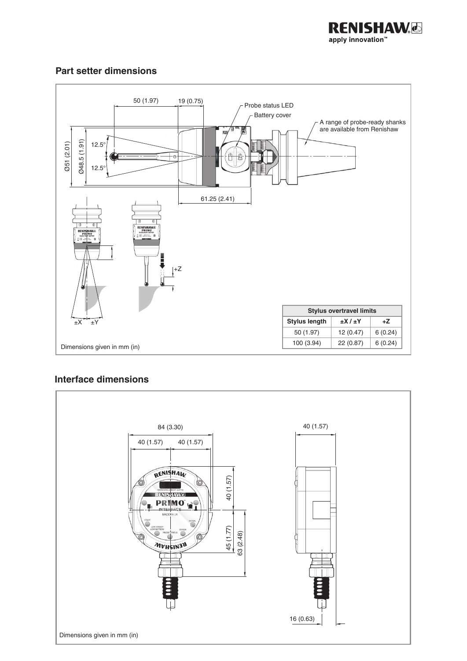

## **Part setter dimensions**



## **Interface dimensions**

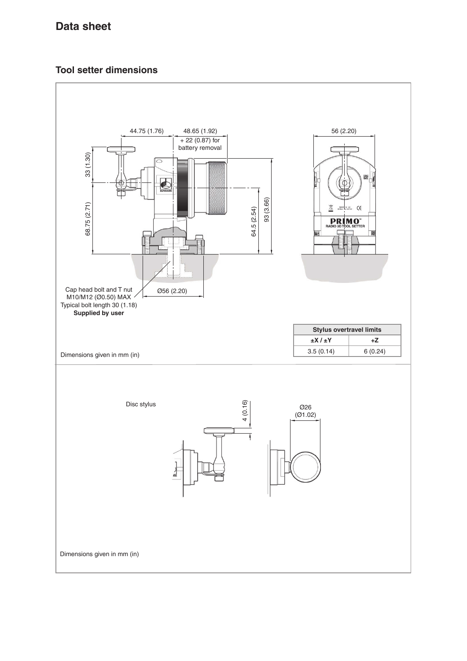## **Tool setter dimensions**

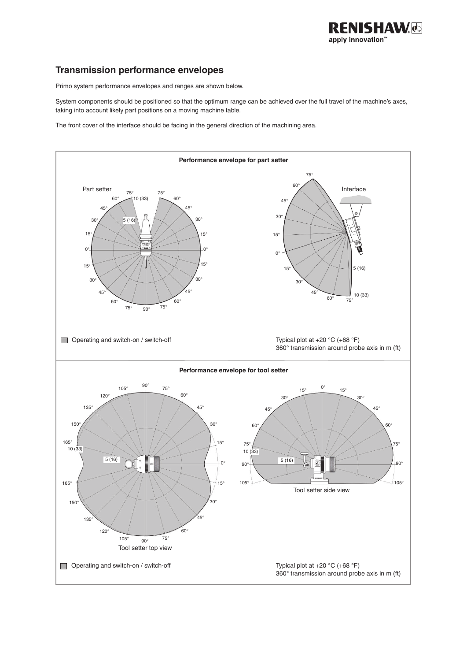

## **Transmission performance envelopes**

Primo system performance envelopes and ranges are shown below.

System components should be positioned so that the optimum range can be achieved over the full travel of the machine's axes, taking into account likely part positions on a moving machine table.

The front cover of the interface should be facing in the general direction of the machining area.